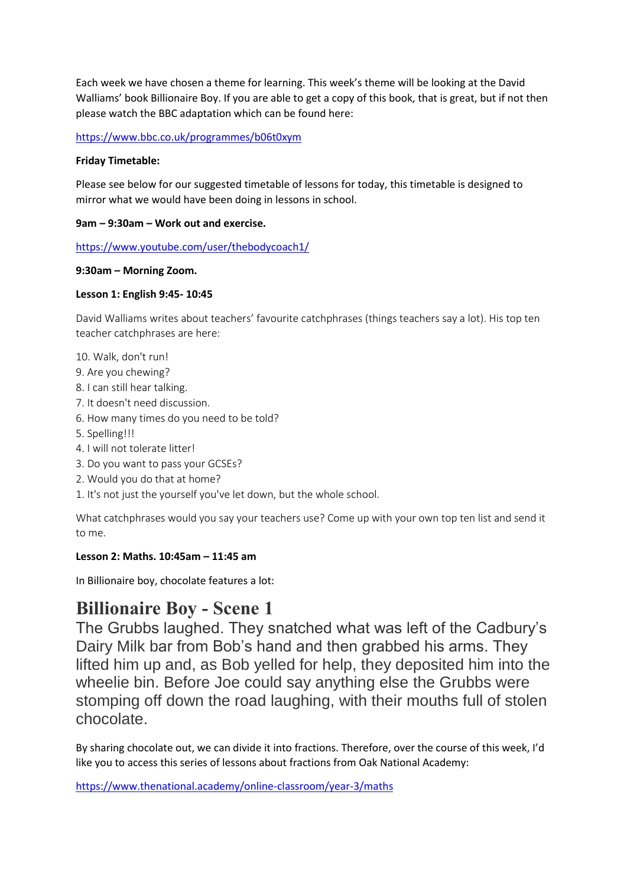Each week we have chosen a theme for learning. This week's theme will be looking at the David Walliams' book Billionaire Boy. If you are able to get a copy of this book, that is great, but if not then please watch the BBC adaptation which can be found here:

<https://www.bbc.co.uk/programmes/b06t0xym>

### **Friday Timetable:**

Please see below for our suggested timetable of lessons for today, this timetable is designed to mirror what we would have been doing in lessons in school.

## **9am – 9:30am – Work out and exercise.**

<https://www.youtube.com/user/thebodycoach1/>

## **9:30am – Morning Zoom.**

## **Lesson 1: English 9:45- 10:45**

David Walliams writes about teachers' favourite catchphrases (things teachers say a lot). His top ten teacher catchphrases are here:

10. Walk, don't run!

- 9. Are you chewing?
- 8. I can still hear talking.
- 7. It doesn't need discussion.
- 6. How many times do you need to be told?
- 5. Spelling!!!
- 4. I will not tolerate litter!
- 3. Do you want to pass your GCSEs?
- 2. Would you do that at home?
- 1. It's not just the yourself you've let down, but the whole school.

What catchphrases would you say your teachers use? Come up with your own top ten list and send it to me.

# **Lesson 2: Maths. 10:45am – 11:45 am**

In Billionaire boy, chocolate features a lot:

# **Billionaire Boy - Scene 1**

The Grubbs laughed. They snatched what was left of the Cadbury's Dairy Milk bar from Bob's hand and then grabbed his arms. They lifted him up and, as Bob yelled for help, they deposited him into the wheelie bin. Before Joe could say anything else the Grubbs were stomping off down the road laughing, with their mouths full of stolen chocolate.

By sharing chocolate out, we can divide it into fractions. Therefore, over the course of this week, I'd like you to access this series of lessons about fractions from Oak National Academy:

<https://www.thenational.academy/online-classroom/year-3/maths>